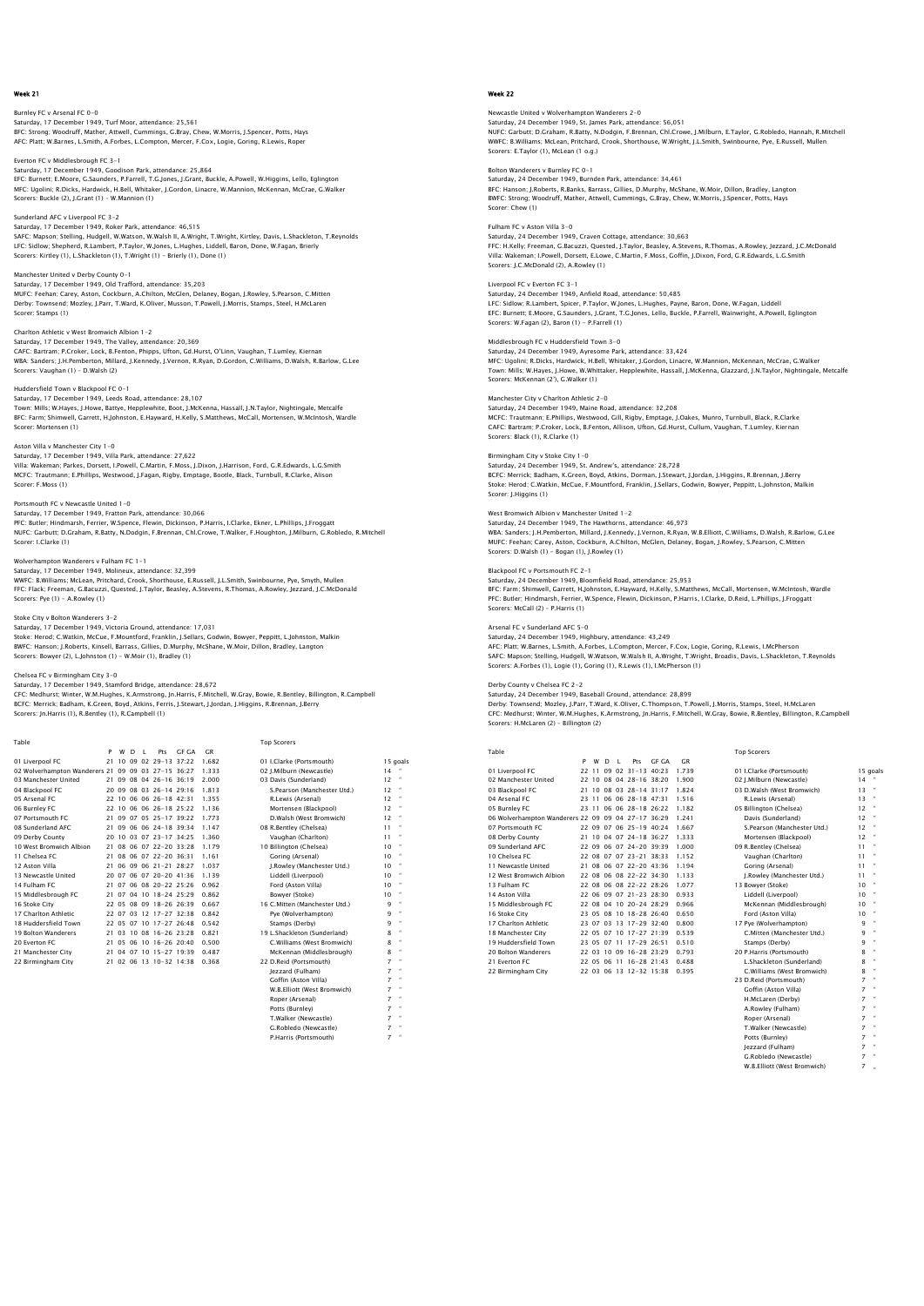Burnley FC v Arsenal FC 0-0 Saturday, 17 December 1949, Turf Moor, attendance: 25,561 BFC: Strong; Woodruff, Mather, Attwell, Cummings, G.Bray, Chew, W.Morris, J.Spencer, Potts, Hays AFC: Platt; W.Barnes, L.Smith, A.Forbes, L.Compton, Mercer, F.Cox, Logie, Goring, R.Lewis, Roper

Everton FC v Middlesbrough FC 3–1<br>Saturday, 17 December 1949, Goodison Park, attendance: 25,864<br>EFC: Burnett; E.Moore, G.Saunders, P.Farrell, T.G.Jones, J.Grant, Buckle, A.Powell, W.Hiqqins, Lello, Eqlinqton MFC: Ugolini; R.Dicks, Hardwick, H.Bell, Whitaker, J.Gordon, Linacre, W.Mannion, McKennan, McCrae, G.Walker Scorers: Buckle (2), J.Grant (1) – W.Mannion (1)

# Sunderland AFC v Liverpool FC 3-2

Saturday, 17 December 1949, Roker Park, attendance: 46,515 SAFC: Mapson; Stelling, Hudgell, W.Watson, W.Walsh II, A.Wright, T.Wright, Kirtley, Davis, L.Shackleton, T.Reynolds LFC: Sidlow; Shepherd, R.Lambert, P.Taylor, W.Jones, L.Hughes, Liddell, Baron, Done, W.Fagan, Brierly Scorers: Kirtley (1), L.Shackleton (1), T.Wright (1) - Brierly (1), Done (1)

# Manchester United v Derby County 0-1

Saturday, 17 December 1949, Old Trafford, attendance: 35,203 MUFC: Feehan; Carey, Aston, Cockburn, A.Chilton, McGlen, Delaney, Bogan, J.Rowley, S.Pearson, C.Mitten Derby: Townsend; Mozley, J.Parr, T.Ward, K.Oliver, Musson, T.Powell, J.Morris, Stamps, Steel, H.McLaren Scorer: Stamps (1)

# Charlton Athletic v West Bromwich Albion 1-2

Saturday, 17 December 1949, The Valley, attendance: 20,369<br>CAFC: Bartram; P.Croker, Lock, B.Fenton, Phipps, Ufton, Gd.Hurst, O'Linn, Vaughan, T.Lumley, Kiernan<br>WBA: Sanders: J.H.Pemberton, Millard, J.Kennedy, J.Vernon, R.R Scorers: Vaughan (1) – D.Walsh (2)<br>Scorers: Vaughan (1) – D.Walsh (2)

#### Huddersfield Town v Blackpool FC 0-1 Saturday, 17 December 1949, Leeds Road, attendance: 28,107

Town: Mills; W.Hayes, J.Howe, Battye, Hepplewhite, Boot, J.McKenna, Hassall, J.N.Taylor, Nightingale, Metcalfe BFC: Farm; Shimwell, Garrett, H.Johnston, E.Hayward, H.Kelly, S.Matthews, McCall, Mortensen, W.McIntosh, Wardle Scorer: Mortensen (1)

# Aston Villa v Manchester City 1-0

Saturday, 17 December 1949, Villa Park, attendance: 27,622 Villa: Wakeman; Parkes, Dorsett, I.Powell, C.Martin, F.Moss, J.Dixon, J.Harrison, Ford, G.R.Edwards, L.G.Smith MCFC: Trautmann; E.Phillips, Westwood, J.Fagan, Rigby, Emptage, Bootle, Black, Turnbull, R.Clarke, Alison Scorer: F.Moss (1)

# Portsmouth FC v Newcastle United 1-0

Saturday, 17 December 1949, Fratton Park, attendance: 30,066<br>PFC: Butler; Hindmarsh, Ferrier, W.Spence, Flewin, Dickinson, P.Harris, I.Clarke, Ekner, L.Phillips, J.Froggatt<br>NUFC: Carbutt; D.Graham, R.Batty, N.Dodqin, F.Bre Scorer: I.Clarke (1)

Wolverhampton Wanderers v Fulham FC 1–1<br>Saturday, 17 December 1949, Molineux, attendance: 32,399<br>WWFC: B.Willians; McLean, Pritchard, Crook, Shorthouse, E.Russell, J.L.Smith, Swinbourne, Pye, Smyth, Mullen<br>WWFC: Back: Free Scorers: Pye (1) - A.Rowley (1)

# Stoke City v Bolton Wanderers 3-2

Saturday, 17 December 1949, Victoria Ground, attendance: 17,031 Stoke: Herod; C.Watkin, McCue, F.Mountford, Franklin, J.Sellars, Godwin, Bowyer, Peppitt, L.Johnston, Malkin BWFC: Hanson; J.Roberts, Kinsell, Barrass, Gillies, D.Murphy, McShane, W.Moir, Dillon, Bradley, Langton Scorers: Bowyer (2), L.Johnston (1) - W.Moir (1), Bradley (1)

#### Chelsea FC v Birmingham City 3-0

Saturday, 17 December 1949, Stamford Bridge, attendance: 28,672 CFC: Medhurst; Winter, W.M.Hughes, K.Armstrong, Jn.Harris, F.Mitchell, W.Gray, Bowie, R.Bentley, Billington, R.Campbell BCFC: Merrick; Badham, K.Green, Boyd, Atkins, Ferris, J.Stewart, J.Jordan, J.Higgins, R.Brennan, J.Berry Scorers: Jn.Harris (1), R.Bentley (1), R.Campbell (1)

|                                                    | P | w | D. | л. | Pts                     | GE GA | GR    |                                |                 |              |
|----------------------------------------------------|---|---|----|----|-------------------------|-------|-------|--------------------------------|-----------------|--------------|
| 01 Liverpool FC                                    |   |   |    |    | 21 10 09 02 29-13 37:22 |       | 1.682 | 01 I.Clarke (Portsmouth)       |                 | 15 goals     |
| 02 Wolverhampton Wanderers 21 09 09 03 27-15 36:27 |   |   |    |    |                         |       | 1.333 | 02 I.Milburn (Newcastle)       | 14              |              |
| 03 Manchester United                               |   |   |    |    | 21 09 08 04 26-16 36:19 |       | 2.000 | 03 Davis (Sunderland)          | 12              |              |
| 04 Blackpool FC                                    |   |   |    |    | 20 09 08 03 26-14 29:16 |       | 1.813 | S.Pearson (Manchester Utd.)    | 12              | $\bullet$    |
| 05 Arsenal FC                                      |   |   |    |    | 22 10 06 06 26-18 42:31 |       | 1.355 | R.Lewis (Arsenal)              | 12              |              |
| 06 Burnlev FC                                      |   |   |    |    | 22 10 06 06 26-18 25:22 |       | 1.136 | Mortensen (Blackpool)          | 12              |              |
| 07 Portsmouth FC                                   |   |   |    |    | 21 09 07 05 25-17 39:22 |       | 1.773 | D.Walsh (West Bromwich)        | 12              |              |
| 08 Sunderland AFC                                  |   |   |    |    | 21 09 06 06 24-18 39:34 |       | 1.147 | 08 R.Bentley (Chelsea)         | 11              |              |
| 09 Derby County                                    |   |   |    |    | 20 10 03 07 23-17 34:25 |       | 1.360 | Vaughan (Charlton)             | $\overline{11}$ |              |
| 10 West Bromwich Albion                            |   |   |    |    | 21 08 06 07 22-20 33:28 |       | 1.179 | 10 Billington (Chelsea)        | 10              |              |
| 11 Chelsea FC                                      |   |   |    |    | 21 08 06 07 22-20 36:31 |       | 1.161 | Goring (Arsenal)               | 10              |              |
| 12 Aston Villa                                     |   |   |    |    | 21 06 09 06 21-21 28:27 |       | 1.037 | I.Rowley (Manchester Utd.)     | 10              | $\bullet$    |
| 13 Newcastle United                                |   |   |    |    | 20 07 06 07 20-20 41:36 |       | 1.139 | Liddell (Liverpool)            | 10              |              |
| 14 Fulham FC                                       |   |   |    |    | 21 07 06 08 20-22 25:26 |       | 0.962 | Ford (Aston Villa)             | 10              | $\mathbf{a}$ |
| 15 Middlesbrough FC                                |   |   |    |    | 21 07 04 10 18-24 25:29 |       | 0.862 | Bowver (Stoke)                 | 10              |              |
| 16 Stoke City                                      |   |   |    |    | 22 05 08 09 18-26 26:39 |       | 0.667 | 16 C.Mitten (Manchester Utd.)  | 9               | ×            |
| 17 Charlton Athletic                               |   |   |    |    | 22 07 03 12 17-27 32:38 |       | 0.842 | Pve (Wolverhampton)            | 9               |              |
| 18 Huddersfield Town                               |   |   |    |    | 22 05 07 10 17-27 26:48 |       | 0.542 | Stamps (Derby)                 | 9               | $\mathbf{a}$ |
| 19 Bolton Wanderers                                |   |   |    |    | 21 03 10 08 16-26 23:28 |       | 0.821 | 19 L.Shackleton (Sunderland)   | 8               |              |
| 20 Everton EC                                      |   |   |    |    | 21 05 06 10 16-26 20:40 |       | 0.500 | C.Williams (West Bromwich)     | 8               | $\bullet$    |
| 21 Manchester City                                 |   |   |    |    | 21 04 07 10 15-27 19:39 |       | 0.487 | McKennan (Middlesbrough)       | 8               | $\bullet$    |
| 22 Birmingham City                                 |   |   |    |    | 21 02 06 13 10-32 14:38 |       | 0.368 | 22 D.Reid (Portsmouth)         | 7               | $\bullet$    |
|                                                    |   |   |    |    |                         |       |       | lezzard (Fulham)               | 7               | $\bullet$    |
|                                                    |   |   |    |    |                         |       |       | $C = 55$ $- 14$ $- 12$ $- 111$ | ۰.              |              |

#### Table Top Scorers

| 01 I.Clarke (Portsmouth)      |                | 15 goal: |
|-------------------------------|----------------|----------|
| 02 I.Milburn (Newcastle)      | 14             | ×        |
| 03 Davis (Sunderland)         | $12^{12}$      | ×        |
| S.Pearson (Manchester Utd.)   | 12             | ×        |
| R.Lewis (Arsenal)             | 12             | e.       |
| Mortensen (Blackpool)         | $12^{12}$      | ×        |
| D.Walsh (West Bromwich)       | 12             | м        |
| 08 R.Bentley (Chelsea)        | 11             | ×        |
| Vaughan (Charlton)            | 11             | e.       |
| 10 Billington (Chelsea)       | 10             | ×        |
| Goring (Arsenal)              | 10             | e.       |
| I.Rowlev (Manchester Utd.)    | 10             | ×        |
| Liddell (Liverpool)           | 10             | ×        |
| Ford (Aston Villa)            | 10             | ×        |
| Bowver (Stoke)                | 10             | e.       |
| 16 C.Mitten (Manchester Utd.) | ٩              | e.       |
| Pve (Wolverhampton)           | ٩              | ×        |
| Stamps (Derby)                | 9              | ×        |
| 19 L.Shackleton (Sunderland)  | 8              | ×        |
| C.Williams (West Bromwich)    | 8              | ×        |
| McKennan (Middlesbrough)      | 8              | ×        |
| 22 D.Reid (Portsmouth)        | $\overline{7}$ | ×        |
| lezzard (Fulham)              | $\overline{7}$ | ×        |
| Goffin (Aston Villa)          | $\overline{7}$ | ×        |
| W.B.Elliott (West Bromwich)   | $\overline{7}$ | ×        |
| Roper (Arsenal)               | $\overline{7}$ | ×        |
| Potts (Burnley)               | $\overline{7}$ | ×        |
| T.Walker (Newcastle)          | 7              | ×        |
| G.Robledo (Newcastle)         | 7              | ×        |
| P Harris (Portsmouth)         | 7              | ×        |

# Week 22

# Newcastle United v Wolverhampton Wanderers 2–0<br>Saturday, 24 December 1949, St. James Park, attendance: 56,051<br>NUFC: Carbutt; D.Graham, R.Batty, N.Dodqin, F.Brennan, Chl.Crowe, J.Milburn, E.Taylor, G.Robledo, Hannah, R.Mitc WWFC: B.Williams; McLean, Pritchard, Crook, Shorthouse, W.Wright, J.L.Smith, Swinbourne, Pye, E.Russell, Mullen Scorers: E.Taylor (1), McLean (1 o.g.)

Bolton Wanderers v Burnley FC 0-1 Saturday, 24 December 1949, Burnden Park, attendance: 34,461 BFC: Hanson; J.Roberts, R.Banks, Barrass, Gillies, D.Murphy, McShane, W.Moir, Dillon, Bradley, Langton BWFC: Strong; Woodruff, Mather, Attwell, Cummings, G.Bray, Chew, W.Morris, J.Spencer, Potts, Hays Scorer: Chew (1)

# Fulham FC v Aston Villa 3-0

Saturday, 24 December 1949, Craven Cottage, attendance: 30,663 FFC: H.Kelly; Freeman, G.Bacuzzi, Quested, J.Taylor, Beasley, A.Stevens, R.Thomas, A.Rowley, Jezzard, J.C.McDonald<br>Villa: Wakeman; I.Powell, Dorsett, E.Lowe, C.Martin, F.Moss, Goffin, J.Dixon, Ford, G.R.Edwards, L.G.Smith<br>

# Liverpool FC v Everton FC 3-1

Saturday, 24 December 1949, Anfield Road, attendance: 50,485 LFC: Sidlow; R.Lambert, Spicer, P.Taylor, W.Jones, L.Hughes, Payne, Baron, Done, W.Fagan, Liddell<br>EFC: Burnett; E.Moore, G.Saunders, J.Grant, T.G.Jones, Lello, Buckle, P.Farrell, Wainwright, A.Powell, Eglingtor<br>Scorers: W.

#### Middlesbrough FC v Huddersfield Town 3-0

Saturday, 24 December 1949, Ayresome Park, attendance: 33,424<br>MFC: Ugolini; R.Dicks, Hardwick, H.Bell, Whitaker, J.Gordon, Linacre, W.Mannion, McKennan, McCrae, G.Walker<br>Town: Milis; W.Hayes, J.Howe, W.Whittaker, Hepplewhi Scorers: McKennan (2'), G.Walker (1)

#### Manchester City v Charlton Athletic 2-0

Saturday, 24 December 1949, Maine Road, attendance: 32,208<br>MCFC: Trautmann; E.Phillips, Westwood, Gill, Rigby, Emptage, J.Oakes, Munro, Turnbull, Black, R.Clarke<br>CAFC: Bartram; P.Croker, Lock, B.Fenton, Allison, Ufton, Gd. Scorers: Black (1), R.Clarke (1)

Birmingham City v Stoke City 1–0<br>Saturday, 24 December 1949, St. Andrew's, attendance: 28,728<br>BCFC: Merrick; Badham, K.Green, Boyd, Atkins, Dorman, J.Stewart, J.Jordan, J.Higgins, R.Brennan, J.Berry<br>Stoke: Herod; C.Watkin, Scorer: J.Higgins (1)

# West Bromwich Albion v Manchester United 1-2

Saturday, 24 December 1949, The Hawthorns, attendance: 46,973 WBA: Sanders; J.H.Pemberton, Millard, J.Kennedy, J.Vernon, R.Ryan, W.B.Elliott, C.Williams, D.Walsh, R.Barlow, G.Lee MUFC: Feehan; Carey, Aston, Cockburn, A.Chilton, McGlen, Delaney, Bogan, J.Rowley, S.Pearson, C.Mitten Scorers: D.Walsh (1) - Bogan (1), J.Rowley (1)

# Blackpool FC v Portsmouth FC 2-1

Saturday, 24 December 1949, Bloomfield Road, attendance: 25,953 BFC: Farm; Shimwell, Garrett, H.Johnston, E.Hayward, H.Kelly, S.Matthews, McCall, Mortensen, W.McIntosh, Wardle PFC: Butler; Hindmarsh, Ferrier, W.Spence, Flewin, Dickinson, P.Harris, I.Clarke, D.Reid, L.Phillips, J.Froggatt Scorers: McCall (2) – P.Harris (1)

### Arsenal FC v Sunderland AFC 5-0

Saturday, 24 December 1949, Highbury, attendance: 43,249 AFC: Platt; W.Barnes, L.Smith, A.Forbes, L.Compton, Mercer, F.Cox, Logie, Goring, R.Lewis, I.McPherson SAFC: Mapson; Stelling, Hudgell, W.Watson, W.Walsh II, A.Wright, T.Wright, Broadis, Davis, L.Shackleton, T.Reynolds<br>Scorers: A.Forbes (1), Logie (1), Goring (1), R.Lewis (1), I.McPherson (1)

### Derby County v Chelsea FC 2-2

Saturday, 24 December 1949, Baseball Ground, attendance: 28,899 Derby: Townsend; Mozley, J.Parr, T.Ward, K.Oliver, C.Thompson, T.Powell, J.Morris, Stamps, Steel, H.McLaren<br>CFC: Medhurst, Winter, W.M.Hughes, K.Armstrong, Jn.Harris, F.Mitchell, W.Gray, Bowie, R.Bentley, Billington, R.Cam

| Table                                              |   |       |   |    |                             |       |       | <b>Top Scorers</b>          |                                 |
|----------------------------------------------------|---|-------|---|----|-----------------------------|-------|-------|-----------------------------|---------------------------------|
|                                                    | P | w     | D | Τ. | Pts                         | GE GA | C.R   |                             |                                 |
| 01 Liverpool FC                                    |   | 22 11 |   |    | $09$ $02$ $31 - 13$ $40.23$ |       | 1.739 | 01 I.Clarke (Portsmouth)    | 15 go.                          |
| 02 Manchester United                               |   |       |   |    | 22 10 08 04 28-16 38:20     |       | 1.900 | 02 I.Milburn (Newcastle)    | 14                              |
| 03 Blackpool FC                                    |   |       |   |    | 21 10 08 03 28-14 31:17     |       | 1.824 | 03 D.Walsh (West Bromwich)  | $\mathbf{u}$<br>13              |
| 04 Arsenal FC                                      |   | 23 11 |   |    | 06 06 28-18 47:31           |       | 1.516 | R.Lewis (Arsenal)           | 13                              |
| 05 Burnley FC                                      |   |       |   |    | 23 11 06 06 28-18 26:22     |       | 1.182 | 05 Billington (Chelsea)     | $\mathbf{u}$<br>12              |
| 06 Wolverhampton Wanderers 22 09 09 04 27-17 36:29 |   |       |   |    |                             |       | 1.241 | Davis (Sunderland)          | ×<br>12                         |
| 07 Portsmouth FC                                   |   |       |   |    | 22 09 07 06 25-19 40:24     |       | 1.667 | S.Pearson (Manchester Utd.) | ×<br>12                         |
| 08 Derby County                                    |   |       |   |    | 21 10 04 07 24-18 36:27     |       | 1.333 | Mortensen (Blackpool)       | $\mathbf{u}$<br>12              |
| 09 Sunderland AFC                                  |   |       |   |    | 22 09 06 07 24-20 39:39     |       | 1.000 | 09 R.Bentley (Chelsea)      | $\mathbf{u}$<br>11              |
| 10 Chelsea EC                                      |   |       |   |    | 22 08 07 07 23-21 38:33     |       | 1.152 | Vaughan (Charlton)          | $\mathbf{u}$<br>$\overline{11}$ |
| 11 Newcastle United                                |   |       |   |    | 21 08 06 07 22-20 43:36     |       | 1.194 | Goring (Arsenal)            | $\mathbf{u}$<br>11              |
| 12 West Bromwich Albion                            |   |       |   |    | 22 08 06 08 22-22 34:30     |       | 1.133 | J.Rowley (Manchester Utd.)  | u,<br>$\overline{11}$           |
| 13 Fulham FC                                       |   |       |   |    | 22 08 06 08 22-22 28:26     |       | 1.077 | 13 Bowver (Stoke)           | 10                              |
| 14 Aston Villa                                     |   |       |   |    | 22 06 09 07 21-23 28:30     |       | 0.933 | Liddell (Liverpool)         | 10                              |
| 15 Middlesbrough FC                                |   |       |   |    | 22 08 04 10 20-24 28:29     |       | 0.966 | McKennan (Middlesbrough)    | 10                              |
| 16 Stoke City                                      |   |       |   |    | 23 05 08 10 18-28 26:40     |       | 0.650 | Ford (Aston Villa)          | 10                              |
| 17 Charlton Athletic                               |   | 23 07 |   |    | $03$ 13 17-29 32:40         |       | 0.800 | 17 Pye (Wolverhampton)      | $\mathbf{a}$<br>9               |
| 18 Manchester City                                 |   | 22 05 |   |    | $07$ 10 17-27 21:39         |       | 0.539 | C.Mitten (Manchester Utd.)  | 9                               |
| 19 Huddersfield Town                               |   | 23 05 |   |    | 07 11 17-29 26:51           |       | 0.510 | Stamps (Derby)              | $\mathbf{u}$<br>9               |
| 20 Bolton Wanderers                                |   |       |   |    | 22 03 10 09 16-28 23:29     |       | 0.793 | 20 P.Harris (Portsmouth)    | ×<br>8                          |
| 21 Everton EC                                      |   |       |   |    | 22 05 06 11 16-28 21:43     |       | 0.488 | L.Shackleton (Sunderland)   | $\mathbf{a}$<br>8               |
| 22 Birmingham City                                 |   |       |   |    | 22 03 06 13 12-32 15:38     |       | 0.395 | C.Williams (West Bromwich)  | $\mathbf{u}$<br>8               |

| 01 I.Clarke (Portsmouth)    | 15 goal: |
|-----------------------------|----------|
| 02 I.Milburn (Newcastle)    | ä<br>14  |
| 03 D.Walsh (West Bromwich)  | ä,<br>13 |
| R.Lewis (Arsenal)           | ×<br>13  |
| 05 Billington (Chelsea)     | ×<br>12  |
| Davis (Sunderland)          | ä,<br>12 |
| S.Pearson (Manchester Utd.) | ×<br>12  |
| Mortensen (Blackpool)       | ×<br>12  |
| 09 R.Bentley (Chelsea)      | ×<br>11  |
| Vaughan (Charlton)          | ×<br>11  |
| Goring (Arsenal)            | ×<br>11  |
| I.Rowlev (Manchester Utd.)  | ×<br>11  |
| 13 Bowver (Stoke)           | ä,<br>10 |
| Liddell (Liverpool)         | ×<br>10  |
| McKennan (Middlesbrough)    | ×<br>10  |
| Ford (Aston Villa)          | ×<br>10  |
| 17 Pve (Wolverhampton)      | ×<br>۹   |
| C.Mitten (Manchester Utd.)  | ä,<br>q  |
| Stamps (Derby)              | ×<br>۹   |
| 20 P.Harris (Portsmouth)    | ×<br>g   |
| L.Shackleton (Sunderland)   | ×<br>8   |
| C.Williams (West Bromwich)  | ×<br>8   |
| 23 D.Reid (Portsmouth)      | ×<br>7   |
| Goffin (Aston Villa)        | ×<br>7   |
| H.McLaren (Derby)           | ×<br>7   |
| A.Rowlev (Fulham)           | ×<br>7   |
| Roper (Arsenal)             | ×,<br>7  |
| T.Walker (Newcastle)        | ä,<br>7  |
| Potts (Burnley)             | ×,<br>7  |
| lezzard (Fulham)            | ×,<br>7  |
| G.Robledo (Newcastle)       | ä<br>7   |
| W.B.Elliott (West Bromwich) | 7<br>×   |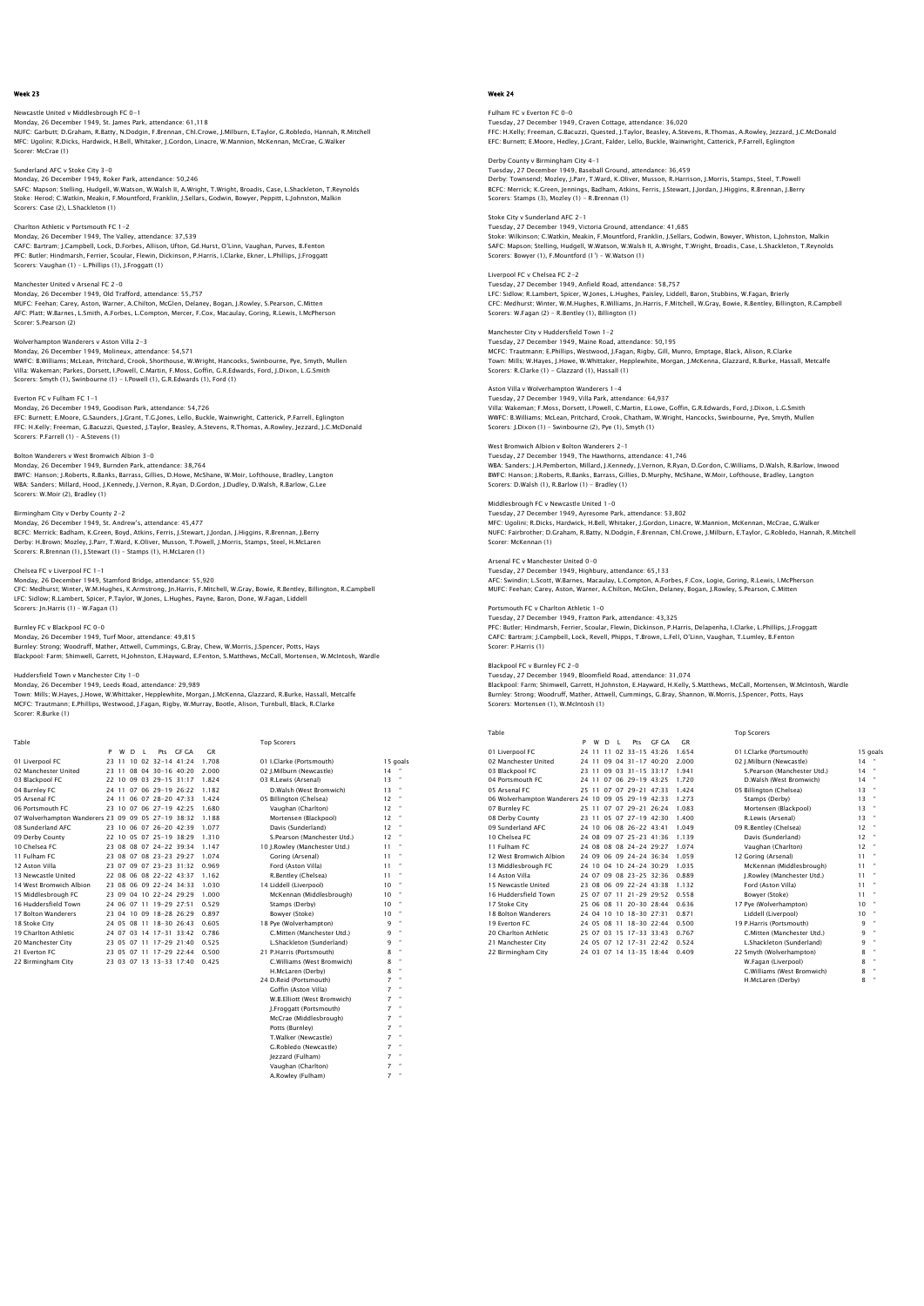Newcastle United v Middlesbrough FC 0–1<br>Monday, 26 December 1949, St. James Park, attendance: 61,118<br>NUFC: Garbutt; D.Graham, R.Batty, N.Dodqin, F.Brennan, Chl.Crowe, J.Milburn, E.Taylor, G.Robledo, Hannah, R.Mitchell MFC: Ugolini; R.Dicks, Hardwick, H.Bell, Whitaker, J.Gordon, Linacre, W.Mannion, McKennan, McCrae, G.Walker Scorer: McCrae (1)

# Sunderland AFC v Stoke City 3-0 Monday, 26 December 1949, Roker Park, attendance: 50,246

SAFC: Mapson; Stelling, Hudgell, W.Watson, W.Walsh II, A.Wright, T.Wright, Broadis, Case, L.Shackleton, T.Reynolds Stoke: Herod; C.Watkin, Meakin, F.Mountford, Franklin, J.Sellars, Godwin, Bowyer, Peppitt, L.Johnston, Malkin Scorers: Case (2), L.Shackleton (1)

# Charlton Athletic v Portsmouth FC 1-2

Monday, 26 December 1949, The Valley, attendance: 37,539 CAFC: Bartram; J.Campbell, Lock, D.Forbes, Allison, Ufton, Gd.Hurst, O'Linn, Vaughan, Purves, B.Fenton PFC: Butler; Hindmarsh, Ferrier, Scoular, Flewin, Dickinson, P.Harris, I.Clarke, Ekner, L.Phillips, J.Froggatt Scorers: Vaughan (1) – L.Phillips (1), J.Froggatt (1)

### Manchester United v Arsenal FC 2-0

Monday, 26 December 1949, Old Trafford, attendance: 55,757 MUFC: Feehan; Carey, Aston, Warner, A.Chilton, McGlen, Delaney, Bogan, J.Rowley, S.Pearson, C.Mitten AFC: Platt; W.Barnes, L.Smith, A.Forbes, L.Compton, Mercer, F.Cox, Macaulay, Goring, R.Lewis, I.McPherson Scorer: S.Pearson (2)

### Wolverhampton Wanderers v Aston Villa 2-3

Monday, 26 December 1949, Molineux, attendance: 54,571 WWFC: B.Williams; McLean, Pritchard, Crook, Shorthouse, W.Wright, Hancocks, Swinbourne, Pye, Smyth, Mullen Villa: Wakeman; Parkes, Dorsett, I.Powell, C.Martin, F.Moss, Goffin, G.R.Edwards, Ford, J.Dixon, L.G.Smith Scorers: Smyth (1), Swinbourne (1) - I.Powell (1), G.R.Edwards (1), Ford (1)

#### Everton FC v Fulham FC 1-1

Monday, 26 December 1949, Goodison Park, attendance: 54,726<br>EFC: Burnett; E.Moore, G.Saunders, J.Grant, T.G.Jones, Lello, Buckle, Wainwright, Catterick, P.Farrell, Eglington<br>FFC: H.Kelly; Freeman, G.Bacuzzi, Quested, J.Tay Scorers: P.Farrell (1) – A.Stevens (1)

Bolton Wanderers v West Bromwich Albion 3–0<br>Monday, 26 December 1949, Burnden Park, attendance: 38,764<br>BWFC: Hanson; J.Roberts, R.Banks, Barrass, Gillies, D.Howe, McShane, W.Moir, Lofthouse, Bradley, Langton<br>BWEA: Sanders; Scorers: W.Moir (2), Bradley (1)

#### Birmingham City v Derby County 2-2

Monday, 26 December 1949, St. Andrew's, attendance: 45,477 BCFC: Merrick; Badham, K.Green, Boyd, Atkins, Ferris, J.Stewart, J.Jordan, J.Higgins, R.Brennan, J.Berry Derby: H.Brown; Mozley, J.Parr, T.Ward, K.Oliver, Musson, T.Powell, J.Morris, Stamps, Steel, H.McLaren Scorers: R.Brennan (1), J.Stewart (1) – Stamps (1), H.McLaren (1)

# Chelsea FC v Liverpool FC 1-1

Monday, 26 December 1949, Stamford Bridge, attendance: 55,920 CFC: Medhurst; Winter, W.M.Hughes, K.Armstrong, Jn.Harris, F.Mitchell, W.Gray, Bowie, R.Bentley, Billington, R.Campbell LFC: Sidlow; R.Lambert, Spicer, P.Taylor, W.Jones, L.Hughes, Payne, Baron, Done, W.Fagan, Liddell Scorers: Jn.Harris (1) – W.Fagan (1)

# Burnley FC v Blackpool FC 0-0

Monday, 26 December 1949, Turf Moor, attendance: 49,815 Burnley: Strong; Woodruff, Mather, Attwell, Cummings, G.Bray, Chew, W.Morris, J.Spencer, Potts, Hays Blackpool: Farm; Shimwell, Garrett, H.Johnston, E.Hayward, E.Fenton, S.Matthews, McCall, Mortensen, W.McIntosh, Wardle

#### .<br>Huddersfield Town v Manchester City 1-0

Monday, 26 December 1949, Leeds Road, attendance: 29,989 Town: Mills; W.Hayes, J.Howe, W.Whittaker, Hepplewhite, Morgan, J.McKenna, Glazzard, R.Burke, Hassall, Metcalfe<br>MCFC: Trautmann; E.Phillips, Westwood, J.Fagan, Rigby, W.Murray, Bootle, Alison, Turnbull, Black, R.Clarke<br>Sco

P W D L Pts GEGA GR

| 01 Liverpool FC                                    |             |  | 23 11 10 02 32-14 41:24 | 1.708 | 01 I.Clarke (Portsmouth)      | 15 goals |                      |
|----------------------------------------------------|-------------|--|-------------------------|-------|-------------------------------|----------|----------------------|
| 02 Manchester United                               | 23 11       |  | 08 04 30-16 40:20       | 2.000 | 02 J.Milburn (Newcastle)      | 14       |                      |
| 03 Blackpool FC                                    |             |  | 22 10 09 03 29-15 31:17 | 1.824 | 03 R.Lewis (Arsenal)          | 13       | $\bullet$            |
| 04 Burnley FC                                      |             |  | 24 11 07 06 29-19 26:22 | 1.182 | D.Walsh (West Bromwich)       | 13       |                      |
| 05 Arsenal FC                                      |             |  | 24 11 06 07 28-20 47:33 | 1.424 | 05 Billington (Chelsea)       | 12       |                      |
| 06 Portsmouth FC                                   |             |  | 23 10 07 06 27-19 42:25 | 1.680 | Vaughan (Charlton)            | 12       |                      |
| 07 Wolverhampton Wanderers 23 09 09 05 27-19 38:32 |             |  |                         | 1.188 | Mortensen (Blackpool)         | 12       |                      |
| 08 Sunderland AFC                                  |             |  | 23 10 06 07 26-20 42:39 | 1.077 | Davis (Sunderland)            | 12       | $\bullet$            |
| 09 Derby County                                    |             |  | 22 10 05 07 25-19 38:29 | 1.310 | S. Pearson (Manchester Utd.)  | 12       |                      |
| 10 Chelsea EC                                      |             |  | 23 08 08 07 24-22 39:34 | 1.147 | 10 J.Rowley (Manchester Utd.) | 11       |                      |
| 11 Fulham FC                                       |             |  | 23 08 07 08 23-23 29:27 | 1.074 | Goring (Arsenal)              | 11       |                      |
| 12 Aston Villa                                     |             |  | 23 07 09 07 23-23 31:32 | 0.969 | Ford (Aston Villa)            | 11       |                      |
| 13 Newcastle United                                |             |  | 22 08 06 08 22-22 43:37 | 1.162 | R.Bentley (Chelsea)           | 11       |                      |
| 14 West Bromwich Albion                            |             |  | 23 08 06 09 22-24 34:33 | 1.030 | 14 Liddell (Liverpool)        | 10       |                      |
| 15 Middlesbrough FC                                |             |  | 23 09 04 10 22-24 29:29 | 1.000 | McKennan (Middlesbrough)      | 10       |                      |
| 16 Huddersfield Town                               | 24 06 07 11 |  | $19-29$ $27.51$         | 0.529 | Stamps (Derby)                | 10       | ×                    |
| 17 Bolton Wanderers                                |             |  | 23 04 10 09 18-28 26:29 | 0.897 | Bowver (Stoke)                | 10       |                      |
| 18 Stoke City                                      |             |  | 24 05 08 11 18-30 26:43 | 0.605 | 18 Pye (Wolverhampton)        | ۹        | $\mathbf{H}$         |
| 19 Charlton Athletic                               |             |  | 24 07 03 14 17-31 33:42 | 0.786 | C.Mitten (Manchester Utd.)    | ۹        | $\ddot{\phantom{1}}$ |
| 20 Manchester City                                 |             |  | 23 05 07 11 17-29 21:40 | 0.525 | L.Shackleton (Sunderland)     | ۹        |                      |
| 21 Everton FC                                      | 23 05 07 11 |  | $17-29$ $22.44$         | 0.500 | 21 P.Harris (Portsmouth)      | 8        |                      |
| 22 Birmingham City                                 |             |  | 23 03 07 13 13-33 17:40 | 0.425 | C.Williams (West Bromwich)    | 8        | $\mathbf{H}$         |
|                                                    |             |  |                         |       | H.McLaren (Derby)             | 8        |                      |

Table Top Scorers

| 01 I.Clarke (Portsmouth)      | 15 qo          |                      |
|-------------------------------|----------------|----------------------|
| 02 I.Milburn (Newcastle)      | 14             |                      |
| 03 R.Lewis (Arsenal)          | 13             | ×,                   |
| D.Walsh (West Bromwich)       | 13             | $\mathbf{a}$         |
| 05 Billington (Chelsea)       | 12             | $\mathbf{a}$         |
| Vaughan (Charlton)            | $12^{12}$      | $\mathbf{a}$         |
| Mortensen (Blackpool)         | 12             | $\mathbf{a}$         |
| Davis (Sunderland)            | 12             | $\ddot{\phantom{a}}$ |
| S.Pearson (Manchester Utd.)   | 12             | $\ddot{\phantom{a}}$ |
| 10 I.Rowlev (Manchester Utd.) | 11             | ×                    |
| Goring (Arsenal)              | 11             | $\overline{a}$       |
| Ford (Aston Villa)            | 11             | ×                    |
| R.Bentley (Chelsea)           | 11             | $\ddot{\phantom{a}}$ |
| 14 Liddell (Liverpool)        | 10             | ×                    |
| McKennan (Middlesbrough)      | 10             | $\overline{a}$       |
| Stamps (Derby)                | 10             | $\mathbf{a}$         |
| Bowyer (Stoke)                | 10             | a,                   |
| 18 Pye (Wolverhampton)        | ۹              | $\overline{a}$       |
| C.Mitten (Manchester Utd.)    | ۹              | ×                    |
| L.Shackleton (Sunderland)     | ۹              | 4                    |
| 21 P.Harris (Portsmouth)      | 8              | ×                    |
| C.Williams (West Bromwich)    | 8              | ×                    |
| H.McLaren (Derby)             | 8              | u                    |
| 24 D.Reid (Portsmouth)        | $\overline{7}$ | ×                    |
| Goffin (Aston Villa)          | 7              | ×                    |
| W.B.Elliott (West Bromwich)   | 7              | $\mathbf{H}$         |
| I.Froggatt (Portsmouth)       | $\overline{7}$ | ×                    |
| McCrae (Middlesbrough)        | $\overline{7}$ | ×                    |
| Potts (Burnley)               | $\overline{7}$ | ×                    |
| T.Walker (Newcastle)          | $\overline{7}$ | ×                    |
| G.Robledo (Newcastle)         | 7              | ×                    |
| lezzard (Fulham)              | 7              | ×                    |
| Vaughan (Charlton)            | 7              | ×                    |
| A.Rowley (Fulham)             | $\overline{7}$ | ×                    |
|                               |                |                      |

# Week 24

# Fulham FC v Everton FC 0-0 Tuesday, 27 December 1949, Craven Cottage, attendance: 36,020 FFC: H.Kelly; Freeman, G.Bacuzzi, Quested, J.Taylor, Beasley, A.Stevens, R.Thomas, A.Rowley, Jezzard, J.C.McDonald EFC: Burnett; E.Moore, Hedley, J.Grant, Falder, Lello, Buckle, Wainwright, Catterick, P.Farrell, Eglington

Derby County v Birmingham City 4–1<br>Tuesday, 27 December 1949, Baseball Ground, attendance: 36,459<br>Derby: Townsend; Mozley, J.Parr, T.Ward, K.Oliver, Musson, R.Harrison, J.Morris, Stamps, Steel, T.Powell BCFC: Merrick; K.Green, Jennings, Badham, Atkins, Ferris, J.Stewart, J.Jordan, J.Higgins, R.Brennan, J.Berry Scorers: Stamps (3), Mozley (1) - R.Brennan (1)

# Stoke City v Sunderland AFC 2-1

Liverpool FC v Chelsea FC 2-2

Tuesday, 27 December 1949, Victoria Ground, attendance: 41,685 Stoke: Wilkinson; C.Watkin, Meakin, F.Mountford, Franklin, J.Sellars, Godwin, Bowyer, Whiston, L.Johnston, Malkin SAFC: Mapson; Stelling, Hudgell, W.Watson, W.Walsh II, A.Wright, T.Wright, Broadis, Case, L.Shackleton, T.Reynolds Scorers: Bowyer (1), F.Mountford (1') – W.Watson (1)

Tuesday, 27 December 1949, Anfield Road, attendance: 58,757

LFC: Sidlow; R.Lambert, Spicer, W.Jones, L.Hughes, Paisley, Liddell, Baron, Stubbins, W.Fagan, Brierly<br>CFC: Medhurst, Winter, W.M.Hughes, R.Williams, Jn.Harris, F.Mitchell, W.Gray, Bowie, R.Bentley, Billington, R.Campbell<br> Manchester City v Huddersfield Town 1-2

Tuesday, 27 December 1949, Maine Road, attendance: 50,195<br>MCFC: Trautmann; E.Phillips, Westwood, J.Fagan, Rigby, Gill, Munro, Emptage, Black, Alison, R.Clarke<br>Town: Milis; W.Hayes, J.Howe, W.Whittaker, Hepplewhite, Morgan,

#### Aston Villa v Wolverhampton Wanderers 1-4 Tuesday, 27 December 1949, Villa Park, attendance: 64,937

Villa: Wakeman; F.Moss, Dorsett, I.Powell, C.Martin, E.Lowe, Goffin, G.R.Edwards, Ford, J.Dixon, L.G.Smith WWFC: B.Williams; McLean, Pritchard, Crook, Chatham, W.Wright, Hancocks, Swinbourne, Pye, Smyth, Mullen Scorers: J.Dixon (1) – Swinbourne (2), Pye (1), Smyth (1)

# West Bromwich Albion v Bolton Wanderers 2-1

Tuesday, 27 December 1949, The Hawthorns, attendance: 41,746<br>WBA: Sanders; J.H.Pemberton, Millard, J.Kennedy, J.Vernon, R.Ryan, D.Gordon, C.Williams, D.Walsh, R.Barlow, Inwooc<br>BWFC: Hanson; J.Roberts, R.Banks, Barrass, Gil

# Middlesbrough FC v Newcastle United 1-0

Tuesday, 27 December 1949, Ayresome Park, attendance: 53,802<br>MFC: Ugolnir, R.Dicks, Hardwick, H.Bell, Whitaker, J.Cordon, Linacre, W.Mannion, McKennan, McCrae, G.Walker<br>NUFC: Fairbrother, D.Graham, R.Batty, N.Dodgin, F.Bre Scorer: McKennan (1)

# Arsenal FC v Manchester United 0-0

Tuesday, 27 December 1949, Highbury, attendance: 65,133 AFC: Swindin; L.Scott, W.Barnes, Macaulay, L.Compton, A.Forbes, F.Cox, Logie, Goring, R.Lewis, I.McPherson MUFC: Feehan; Carey, Aston, Warner, A.Chilton, McGlen, Delaney, Bogan, J.Rowley, S.Pearson, C.Mitten

### Portsmouth FC v Charlton Athletic 1-0

Tuesday, 27 December 1949, Fratton Park, attendance: 43,325<br>PFC: Butler; Hindmarsh, Ferrier, Scoular, Flewin, Dickinson, P.Harris, Delapenha, I.Clarke, L.Phillips, J.Froggatt<br>CAFC: Bartram: J.Campbell, Lock, Revell, Phipps Scorer: P.Harris (1)

Blackpool FC v Burnley FC 2-0 Tuesday, 27 December 1949, Bloomfield Road, attendance: 31,074 Blackpool: Farm; Shimwell, Garrett, H.Johnston, E.Hayward, H.Kelly, S.Matthews, McCall, Mortensen, W.McIntosh, Wardle<br>Burnley: Strong; Woodruff, Mather, Attwell, Cummings, G.Bray, Shannon, W.Morris, J.Spencer, Potts, Hays Scorers: Mortensen (1), W.McIntosh (1)

| Table                                              |   |       |   |   |                         |       |       | <b>Top Scorers</b>          |    |              |
|----------------------------------------------------|---|-------|---|---|-------------------------|-------|-------|-----------------------------|----|--------------|
|                                                    | P | W     | D | т | Pts                     | GE GA | C.R   |                             |    |              |
| 01 Liverpool FC                                    |   | 24 11 |   |   | 11 02 33-15 43:26       |       | 1.654 | 01 LClarke (Portsmouth)     |    | 15 goals     |
| 02 Manchester United                               |   |       |   |   | 24 11 09 04 31-17 40:20 |       | 2.000 | 02 I.Milburn (Newcastle)    | 14 |              |
| 03 Blackpool FC                                    |   | 23 11 |   |   | 09 03 31-15 33:17       |       | 1.941 | S.Pearson (Manchester Utd.) | 14 |              |
| 04 Portsmouth FC                                   |   |       |   |   | 24 11 07 06 29-19 43:25 |       | 1.720 | D.Walsh (West Bromwich)     | 14 | $\mathbf{u}$ |
| 05 Arsenal FC                                      |   |       |   |   | 25 11 07 07 29-21 47:33 |       | 1.424 | 05 Billington (Chelsea)     | 13 |              |
| 06 Wolverhampton Wanderers 24 10 09 05 29-19 42:33 |   |       |   |   |                         |       | 1.273 | Stamps (Derby)              | 13 | ×            |
| 07 Burnley FC                                      |   |       |   |   | 25 11 07 07 29-21 26:24 |       | 1.083 | Mortensen (Blackpool)       | 13 | $\mathbf{u}$ |
| 08 Derby County                                    |   |       |   |   | 23 11 05 07 27-19 42:30 |       | 1.400 | R.Lewis (Arsenal)           | 13 | $\mathbf{u}$ |
| 09 Sunderland AFC                                  |   |       |   |   | 24 10 06 08 26-22 43:41 |       | 1.049 | 09 R.Bentley (Chelsea)      | 12 | $\mathbf{u}$ |
| 10 Chelsea EC                                      |   |       |   |   | 24 08 09 07 25-23 41:36 |       | 1.139 | Davis (Sunderland)          | 12 |              |
| 11 Fulham FC                                       |   |       |   |   | 24 08 08 08 24-24 29:27 |       | 1.074 | Vaughan (Charlton)          | 12 | ×            |
| 12 West Bromwich Albion                            |   |       |   |   | 24 09 06 09 24-24 36:34 |       | 1.059 | 12 Goring (Arsenal)         | 11 |              |
| 13 Middlesbrough FC                                |   |       |   |   | 24 10 04 10 24-24 30:29 |       | 1.035 | McKennan (Middlesbrough)    | 11 | $\mathbf{u}$ |
| 14 Aston Villa                                     |   |       |   |   | 24 07 09 08 23-25 32:36 |       | 0.889 | J.Rowley (Manchester Utd.)  | 11 | $\mathbf{u}$ |
| 15 Newcastle United                                |   |       |   |   | 23 08 06 09 22-24 43:38 |       | 1.132 | Ford (Aston Villa)          | 11 |              |
| 16 Huddersfield Town                               |   |       |   |   | 25 07 07 11 21-29 29:52 |       | 0.558 | Bowver (Stoke)              | 11 | $\mathbf{u}$ |
| 17 Stoke City                                      |   |       |   |   | 25 06 08 11 20-30 28:44 |       | 0.636 | 17 Pye (Wolverhampton)      | 10 |              |
| 18 Bolton Wanderers                                |   |       |   |   | 24 04 10 10 18-30 27:31 |       | 0.871 | Liddell (Liverpool)         | 10 |              |
| 19 Everton EC                                      |   |       |   |   | 24 05 08 11 18-30 22:44 |       | 0.500 | 19 P.Harris (Portsmouth)    | 9  |              |
| 20 Charlton Athletic                               |   |       |   |   | 25 07 03 15 17-33 33:43 |       | 0.767 | C.Mitten (Manchester Utd.)  | 9  |              |
| 21 Manchester City                                 |   |       |   |   | 24 05 07 12 17-31 22:42 |       | 0.524 | L.Shackleton (Sunderland)   | 9  | $\mathbf{u}$ |
| 22 Birmingham City                                 |   |       |   |   | 24 03 07 14 13-35 18:44 |       | 0.409 | 22 Smyth (Wolverhampton)    | 8  |              |
|                                                    |   |       |   |   |                         |       |       | W.Fagan (Liverpool)         | 8  | ٠            |
|                                                    |   |       |   |   |                         |       |       | C.Williams (West Bromwich)  | g  |              |
|                                                    |   |       |   |   |                         |       |       | H.McLaren (Derby)           | g  |              |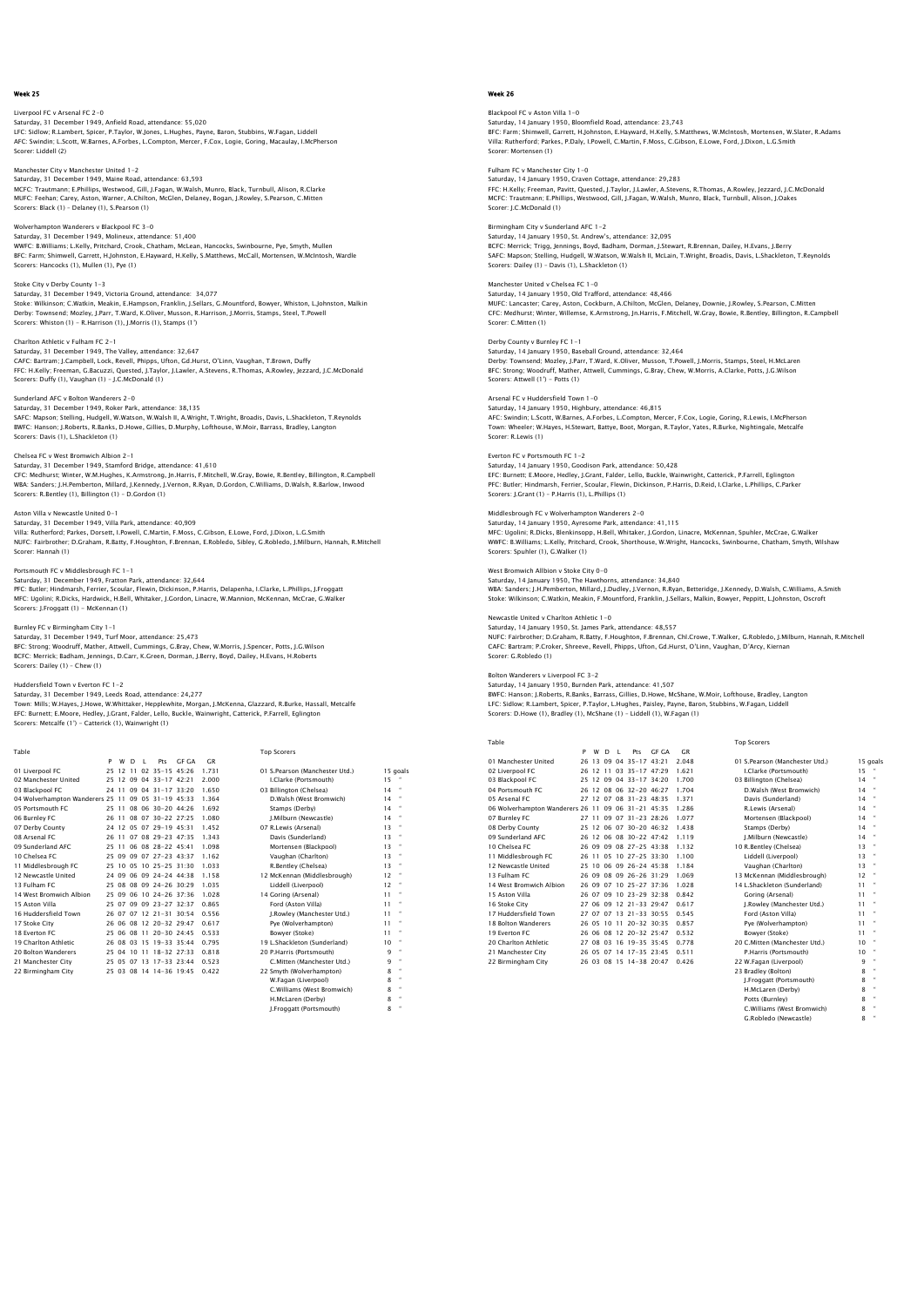# Liverpool FC v Arsenal FC 2-0 Saturday, 31 December 1949, Anfield Road, attendance: 55,020 LFC: Sidlow; R.Lambert, Spicer, P.Taylor, W.Jones, L.Hughes, Payne, Baron, Stubbins, W.Fagan, Liddell AFC: Swindin; L.Scott, W.Barnes, A.Forbes, L.Compton, Mercer, F.Cox, Logie, Goring, Macaulay, I.McPherson Scorer: Liddell (2)

Manchester City v Manchester United 1-2 Saturday, 31 December 1949, Maine Road, attendance: 63,593 MCFC: Trautmann; E.Phillips, Westwood, Gill, J.Fagan, W.Walsh, Munro, Black, Turnbull, Alison, R.Clarke<br>MUFC: Feehan; Carey, Aston, Warner, A.Chilton, McGlen, Delaney, Bogan, J.Rowley, S.Pearson, C.Mitten<br>Scorers: Black (1

Wolverhampton Wanderers v Blackpool FC 3-0 Saturday, 31 December 1949, Molineux, attendance: 51,400<br>WWFC: B.Williams; L.Kelly, Pritchard, Crook, Chatham, McLean, Hancocks, Swinbourne, Pye, Smyth, Mullen<br>BFC: Farm; Shimwell, Garrett, H.Johnston, E.Hayward, H.Kelly,

Stoke City v Derby County 1-3 Saturday, 31 December 1949, Victoria Ground, attendance: 34,077 Stoke: Wilkinson; C.Watkin, Meakin, E.Hampson, Franklin, J.Sellars, G.Mountford, Bowyer, Whiston, L.Johnston, Malkin<br>Derby: Townsend; Mozley, J.Parr, T.Ward, K.Oliver, Musson, R.Harrison, J.Morris, Stamps, Steel, T.Powell<br>

Charlton Athletic v Fulham FC 2-1 Saturday, 31 December 1949, The Valley, attendance: 32,647 CAFC: Bartram; J.Campbell, Lock, Revell, Phipps, Ufton, Gd.Hurst, O'Linn, Vaughan, T.Brown, Duffy FFC: H.Kelly; Freeman, G.Bacuzzi, Quested, J.Taylor, J.Lawler, A.Stevens, R.Thomas, A.Rowley, Jezzard, J.C.McDonald Scorers: Duffy (1), Vaughan (1) – J.C.McDonald (1)

Sunderland AFC v Bolton Wanderers 2-0 Saturday, 31 December 1949, Roker Park, attendance: 38,135 SAFC: Mapson; Stelling, Hudgell, W.Watson, W.Walsh II, A.Wright, T.Wright, Broadis, Davis, L.Shackleton, T.Reynolds BWFC: Hanson; J.Roberts, R.Banks, D.Howe, Gillies, D.Murphy, Lofthouse, W.Moir, Barrass, Bradley, Langton Scorers: Davis (1), L.Shackleton (1)

Chelsea FC v West Bromwich Albion 2–1<br>Saturday, 31 December 1949, Stanford Bridge, attendance: 41,610<br>CFC: Medhurst; Winter, W.M.Hughes, K.Armstrong, Jn.Harris, F.Mitchell, W.Gray, Bowie, R.Bentley, Billington, R.Campbell<br> Scorers: R.Bentley (1), Billington (1) – D.Gordon (1)

Aston Villa v Newcastle United 0-1 Saturday, 31 December 1949, Villa Park, attendance: 40,909 Villa: Rutherford; Parkes, Dorsett, I.Powell, C.Martin, F.Moss, C.Gibson, E.Lowe, Ford, J.Dixon, L.G.Smith<br>NUFC: Fairbrother; D.Graham, R.Batty, F.Houghton, F.Brennan, E.Robledo, Sibley, G.Robledo, J.Milburn, Hannah, R.Mit Scorer: Hannah (1)

#### uth FC v Middlesbrough FC 1-1 Saturday, 31 December 1949, Fratton Park, attendance: 32,644

PFC: Butler; Hindmarsh, Ferrier, Scoular, Flewin, Dickinson, P.Harris, Delapenha, I.Clarke, L.Phillips, J.Froggatt MFC: Ugolini; R.Dicks, Hardwick, H.Bell, Whitaker, J.Gordon, Linacre, W.Mannion, McKennan, McCrae, G.Walker Scorers: J.Froggatt (1) - McKennan (1)

# Burnley FC v Birmingham City 1-1

Saturday, 31 December 1949, Turf Moor, attendance: 25,473 BFC: Strong; Woodruff, Mather, Attwell, Cummings, G.Bray, Chew, W.Morris, J.Spencer, Potts, J.G.Wilson BCFC: Merrick; Badham, Jennings, D.Carr, K.Green, Dorman, J.Berry, Boyd, Dailey, H.Evans, H.Roberts Scorers: Dailey (1) – Chew (1)

# Huddersfield Town v Everton FC 1-2

Saturday, 31 December 1949, Leeds Road, attendance: 24,277 Town: Mills; W.Hayes, J.Howe, W.Whittaker, Hepplewhite, Morgan, J.McKenna, Glazzard, R.Burke, Hassall, Metcalfe<br>EFC: Burnett; E.Moore, Hedley, J.Grant, Falder, Lello, Buckle, Wainwright, Catterick, P.Farrell, Eglington<br>Sco

| Table                                              |   |   |    |      |                         |       |       | <b>Top Scorers</b>             |    |              |
|----------------------------------------------------|---|---|----|------|-------------------------|-------|-------|--------------------------------|----|--------------|
|                                                    | P | w | D. | - 11 | Pts                     | GE GA | C.R   |                                |    |              |
| 01 Liverpool FC                                    |   |   |    |      | 25 12 11 02 35-15 45:26 |       | 1.731 | 01 S.Pearson (Manchester Utd.) |    | 15 goals     |
| 02 Manchester United                               |   |   |    |      | 25 12 09 04 33-17 42:21 |       | 2.000 | I.Clarke (Portsmouth)          | 15 |              |
| 03 Blackpool FC                                    |   |   |    |      | 24 11 09 04 31-17 33:20 |       | 1.650 | 03 Billington (Chelsea)        | 14 | $\bullet$    |
| 04 Wolverhampton Wanderers 25 11 09 05 31-19 45:33 |   |   |    |      |                         |       | 1.364 | D.Walsh (West Bromwich)        | 14 |              |
| 05 Portsmouth FC                                   |   |   |    |      | 25 11 08 06 30-20 44:26 |       | 1.692 | Stamps (Derby)                 | 14 | $\bullet$    |
| 06 Burnley FC                                      |   |   |    |      | 26 11 08 07 30-22 27:25 |       | 1.080 | I.Milburn (Newcastle)          | 14 |              |
| 07 Derby County                                    |   |   |    |      | 24 12 05 07 29-19 45:31 |       | 1.452 | 07 R.Lewis (Arsenal)           | 13 | $\bullet$    |
| 08 Arsenal FC                                      |   |   |    |      | 26 11 07 08 29-23 47:35 |       | 1.343 | Davis (Sunderland)             | 13 | $\bullet$    |
| 09 Sunderland AFC                                  |   |   |    |      | 25 11 06 08 28-22 45:41 |       | 1.098 | Mortensen (Blackpool)          | 13 |              |
| 10 Chelsea EC                                      |   |   |    |      | 25 09 09 07 27-23 43:37 |       | 1.162 | Vaughan (Charlton)             | 13 | $\bullet$    |
| 11 Middlesbrough FC                                |   |   |    |      | 25 10 05 10 25-25 31:30 |       | 1.033 | R.Bentlev (Chelsea)            | 13 |              |
| 12 Newcastle United                                |   |   |    |      | 24 09 06 09 24-24 44 38 |       | 1.158 | 12 McKennan (Middlesbrough)    | 12 | $\bullet$    |
| 13 Fulham FC                                       |   |   |    |      | 25 08 08 09 24-26 30:29 |       | 1.035 | Liddell (Liverpool)            | 12 | $\bullet$    |
| 14 West Bromwich Albion                            |   |   |    |      | 25 09 06 10 24-26 37:36 |       | 1.028 | 14 Goring (Arsenal)            | 11 |              |
| 15 Aston Villa                                     |   |   |    |      | 25 07 09 09 23-27 32:37 |       | 0.865 | Ford (Aston Villa)             | 11 | $\bullet$    |
| 16 Huddersfield Town                               |   |   |    |      | 26 07 07 12 21-31 30:54 |       | 0.556 | I.Rowlev (Manchester Utd.)     | 11 | $\bullet$    |
| 17 Stoke City                                      |   |   |    |      | 26 06 08 12 20-32 29:47 |       | 0.617 | Pye (Wolverhampton)            | 11 |              |
| 18 Everton EC                                      |   |   |    |      | 25 06 08 11 20-30 24:45 |       | 0.533 | Bowver (Stoke)                 | 11 | ×            |
| 19 Charlton Athletic                               |   |   |    |      | 26 08 03 15 19-33 35:44 |       | 0.795 | 19 L.Shackleton (Sunderland)   | 10 | $\bullet$    |
| 20 Bolton Wanderers                                |   |   |    |      | 25 04 10 11 18-32 27:33 |       | 0.818 | 20 P.Harris (Portsmouth)       | 9  | $\bullet$    |
| 21 Manchester City                                 |   |   |    |      | 25 05 07 13 17-33 23:44 |       | 0.523 | C.Mitten (Manchester Utd.)     | ۹  | $\bullet$    |
| 22 Birmingham City                                 |   |   |    |      | 25 03 08 14 14-36 19:45 |       | 0.422 | 22 Smyth (Wolverhampton)       | 8  | $\bullet$    |
|                                                    |   |   |    |      |                         |       |       | W.Fagan (Liverpool)            | 8  |              |
|                                                    |   |   |    |      |                         |       |       | C.Williams (West Bromwich)     | 8  | ×            |
|                                                    |   |   |    |      |                         |       |       | H.McLaren (Derby)              | 8  | $\mathbf{H}$ |
|                                                    |   |   |    |      |                         |       |       | J.Froqgatt (Portsmouth)        | 8  | ×            |

# Week 26

# Blackpool FC v Aston Villa 1-0 Saturday, 14 January 1950, Bloomfield Road, attendance: 23,743 BFC: Farm; Shimwell, Garrett, H.Johnston, E.Hayward, H.Kelly, S.Matthews, W.McIntosh, Mortensen, W.Slater, R.Adams Villa: Rutherford; Parkes, P.Daly, I.Powell, C.Martin, F.Moss, C.Gibson, E.Lowe, Ford, J.Dixon, L.G.Smith Scorer: Mortensen (1)

Fulham FC v Manchester City 1-0 Saturday, 14 January 1950, Craven Cottage, attendance: 29,283 FFC: H.Kelly; Freeman, Pavitt, Quested, J.Taylor, J.Lawler, A.Stevens, R.Thomas, A.Rowley, Jezzard, J.C.McDonald MCFC: Trautmann; E.Phillips, Westwood, Gill, J.Fagan, W.Walsh, Munro, Black, Turnbull, Alison, J.Oakes Scorer: J.C.McDonald (1)

# Birmingham City v Sunderland AFC 1-2

Saturday, 14 January 1950, St. Andrew's, attendance: 32,095 BCFC: Merrick; Trigg, Jennings, Boyd, Badham, Dorman, J.Stewart, R.Brennan, Dailey, H.Evans, J.Berry<br>SAFC: Mapson; Stelling, Hudgell, W.Watson, W.Walsh II, McLain, T.Wright, Broadis, Davis, L.Shackleton, T.Reynolds<br>Scorers

# Manchester United v Chelsea FC 1-0

Saturday, 14 January 1950, Old Trafford, attendance: 48,466<br>MUFC: Lancaster; Carey, Aston, Cockburn, A.Chilton, McGlen, Delaney, Downie, J.Rowley, S.Pearson, C.Mitten<br>CFC: Medhurst; Winter, Willemse, K.Armstrong, Jn.Harris

Derby County v Burnley FC 1-1

Saturday, 14 January 1950, Baseball Ground, attendance: 32,464 Derby: Townsend; Mozley, J.Parr, T.Ward, K.Oliver, Musson, T.Powell, J.Morris, Stamps, Steel, H.McLaren BFC: Strong; Woodruff, Mather, Attwell, Cummings, G.Bray, Chew, W.Morris, A.Clarke, Potts, J.G.Wilson Scorers: Attwell (1') - Potts (1)

# Arsenal FC v Huddersfield Town 1-0

Saturday, 14 January 1950, Highbury, attendance: 46,815<br>AFC: Swindin; L.Scott, W.Barnes, A.Forbes, L.Compton, Mercer, F.Cox, Logie, Goring, R.Lewis, I.McPhersor<br>Town: Wheeler; W.Hayes, H.Stewart, Battye, Boot, Morgan, R.Ta Scorer: R.Lewis (1)

Everton FC v Portsmouth FC 1–2<br>Saturday, 14 January 1950, Goodison Park, attendance: 50,428<br>EFC: Burnett; E.Moore, Hedley, J.Crant, Falder, Lello, Buckle, Wainwright, Catterick, P.Farrell, Eglington<br>FFC: Butler; Hindmarsh, Scorers: J.Grant (1) – P.Harris (1), L.Phillips (1)

# Middlesbrough FC v Wolverhampton Wanderers 2-0

Saturday, 14 January 1950, Ayresome Park, attendance: 41,115<br>MFC: Ugolini; R.Dicks, Blenkinsopp, H.Bell, Whitaker, J.Cordon, Linacre, McKennan, Spuhler, McCrae, G.Walker<br>WWFC: B.Williams; L.Kelly, Pritchard, Crook, Shortho Scorers: Spuhler (1), G.Walker (1)

#### West Bromwich Allbion v Stoke City 0-0 Saturday, 14 January 1950, The Hawthorns, attendance: 34,840

WBA: Sanders; J.H.Pemberton, Millard, J.Dudley, J.Vernon, R.Ryan, Betteridge, J.Kennedy, D.Walsh, C.Williams, A.Smith Stoke: Wilkinson; C.Watkin, Meakin, F.Mountford, Franklin, J.Sellars, Malkin, Bowyer, Peppitt, L.Johnston, Oscroft

Newcastle United v Charlton Athletic 1-0

Saturday, 14 January 1950, St. James Park, attendance: 48,557<br>NUFC: Fairbrother; D.Graham, R.Batty, F.Houghton, F.Brennan, Chl.Crowe, T.Walker, G.Robledo, J.Milburn, Hannah, R.Mitchel<br>CAFC: Bartram; P.Croker, Shreeve, Reve Scorer: G.Robledo (1)

# erers v Liverpool FC 3-2

Saturday, 14 January 1950, Burnden Park, attendance: 41,507 BWFC: Hanson; J.Roberts, R.Banks, Barrass, Gillies, D.Howe, McShane, W.Moir, Lofthouse, Bradley, Langton LFC: Sidlow; R.Lambert, Spicer, P.Taylor, L.Hughes, Paisley, Payne, Baron, Stubbins, W.Fagan, Liddel<br>Scorers: D.Howe (1), Bradley (1), McShane (1) – Liddell (1), W.Fagan (1)

| Table                                              |    |       |    |                |                         |       |       | <b>Top Scorers</b>             |        |              |
|----------------------------------------------------|----|-------|----|----------------|-------------------------|-------|-------|--------------------------------|--------|--------------|
|                                                    | P  | w     | D. | $\blacksquare$ | Pts                     | GE GA | C.R   |                                |        |              |
| 01 Manchester United                               | 26 | 13    | 09 |                | $04$ 35-17 43.21        |       | 2.048 | 01 S.Pearson (Manchester Utd.) |        | 15 goals     |
| 02 Liverpool FC                                    |    |       |    |                | 26 12 11 03 35-17 47:29 |       | 1.621 | I.Clarke (Portsmouth)          | 15     |              |
| 03 Blackpool FC                                    |    |       |    |                | 25 12 09 04 33-17 34:20 |       | 1.700 | 03 Billington (Chelsea)        | 14     |              |
| 04 Portsmouth FC                                   |    |       |    |                | 26 12 08 06 32-20 46:27 |       | 1.704 | D.Walsh (West Bromwich)        | 14     | ×            |
| 05 Arsenal FC                                      |    |       |    |                | 27 12 07 08 31-23 48:35 |       | 1.371 | Davis (Sunderland)             | 14     | ٠            |
| 06 Wolverhampton Wanderers 26 11 09 06 31-21 45:35 |    |       |    |                |                         |       | 1.286 | R.Lewis (Arsenal)              | 14     | ×            |
| 07 Burnley FC                                      |    |       |    |                | 27 11 09 07 31-23 28:26 |       | 1.077 | Mortensen (Blackpool)          | 14     | ٠            |
| 08 Derby County                                    |    |       |    |                | 25 12 06 07 30-20 46:32 |       | 1.438 | Stamps (Derby)                 | 14     |              |
| 09 Sunderland AFC                                  |    |       |    |                | 26 12 06 08 30-22 47:42 |       | 1.119 | I.Milburn (Newcastle)          | 14     | ٠            |
| 10 Chelsea EC                                      |    |       |    |                | 26 09 09 08 27-25 43:38 |       | 1.132 | 10 R.Bentley (Chelsea)         | 13     |              |
| 11 Middlesbrough FC                                |    |       |    |                | 26 11 05 10 27-25 33:30 |       | 1.100 | Liddell (Liverpool)            | 13     | ٠            |
| 12 Newcastle United                                |    | 25 10 |    |                | 06 09 26-24 45:38       |       | 1.184 | Vaughan (Charlton)             | 13     | ×            |
| 13 Fulham FC                                       |    |       |    |                | 26 09 08 09 26-26 31:29 |       | 1.069 | 13 McKennan (Middlesbrough)    | 12     | ×            |
| 14 West Bromwich Albion                            |    |       |    |                | 26 09 07 10 25-27 37:36 |       | 1.028 | 14 L.Shackleton (Sunderland)   | 11     |              |
| 15 Aston Villa                                     |    |       |    |                | 26 07 09 10 23-29 32:38 |       | 0.842 | Goring (Arsenal)               | 11     | ×            |
| 16 Stoke City                                      | 27 |       |    |                | 06 09 12 21-33 29:47    |       | 0.617 | I.Rowley (Manchester Utd.)     | 11     |              |
| 17 Huddersfield Town                               | 27 | 07    |    |                | 07 13 21-33 30:55       |       | 0.545 | Ford (Aston Villa)             | 11     | ×            |
| 18 Bolton Wanderers                                |    | 26.05 |    |                | 10 11 20-32 30:35       |       | 0.857 | Pve (Wolverhampton)            | 11     | ×            |
| 19 Everton FC                                      |    |       |    |                | 26 06 08 12 20-32 25:47 |       | 0.532 | Bowyer (Stoke)                 | 11     | ×            |
| 20 Charlton Athletic                               | 27 |       |    |                | 08 03 16 19-35 35:45    |       | 0.778 | 20 C.Mitten (Manchester Utd.)  | 10     | ×            |
| 21 Manchester City                                 |    |       |    |                | 26 05 07 14 17-35 23:45 |       | 0.511 | P.Harris (Portsmouth)          | 10     |              |
| 22 Birmingham City                                 |    |       |    |                | 26 03 08 15 14-38 20:47 |       | 0.426 | 22 W.Fagan (Liverpool)         | 9      | $\mathbf{u}$ |
|                                                    |    |       |    |                |                         |       |       | .                              | $\sim$ |              |

r.nan<br>22 W.Fag<br>23 Bradle J.Frog H.McLaren (Derby) 8 " Potts (

| 01 S.Pearson (Manchester Utd.) |    | 15 goals |
|--------------------------------|----|----------|
| I.Clarke (Portsmouth)          | 15 | ×,       |
| 03 Billington (Chelsea)        | 14 | ×        |
| D.Walsh (West Bromwich)        | 14 | ×,       |
| Davis (Sunderland)             | 14 | ×        |
| R.Lewis (Arsenal)              | 14 | ×        |
| Mortensen (Blackpool)          | 14 | ×        |
| Stamps (Derby)                 | 14 | ×        |
| I.Milburn (Newcastle)          | 14 | ×        |
| 10 R.Bentlev (Chelsea)         | 13 | ×        |
| Liddell (Liverpool)            | 13 | ×        |
| Vaughan (Charlton)             | 13 | ×        |
| 13 McKennan (Middlesbrough)    | 12 | ×        |
| 14 L.Shackleton (Sunderland)   | 11 | ×        |
| Goring (Arsenal)               | 11 | ×        |
| I.Rowley (Manchester Utd.)     | 11 | ×        |
| Ford (Aston Villa)             | 11 | ×        |
| Pve (Wolverhampton)            | 11 | ×        |
| Bowver (Stoke)                 | 11 | ×,       |
| 20 C.Mitten (Manchester Utd.)  | 10 | ×        |
| P.Harris (Portsmouth)          | 10 | ×        |
| 22 W.Fagan (Liverpool)         | q  | ×        |
| 23 Bradley (Bolton)            | 8  | ×        |
| J.Froggatt (Portsmouth)        | 8  | ×,       |
| H.McLaren (Derby)              | 8  | ×        |
| Potts (Burnley)                | 8  | ×,       |
| C.Williams (West Bromwich)     | 8  | ×        |
| G.Robledo (Newcastle)          | 8  | u,       |
|                                |    |          |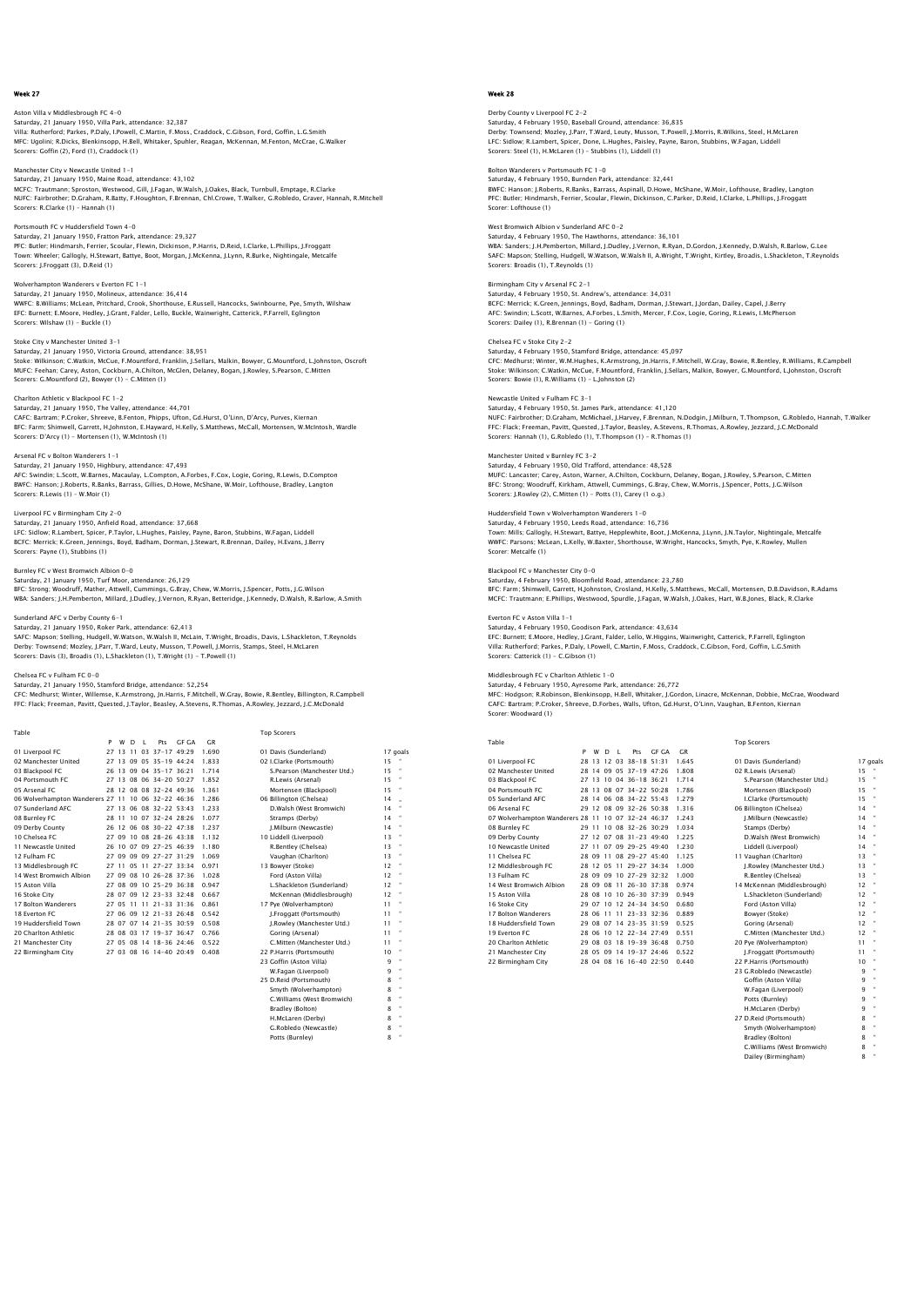Aston Villa v Middlesbrough FC 4-0 Saturday, 21 January 1950, Villa Park, attendance: 32,387 Villa: Rutherford; Parkes, P.Daly, I.Powell, C.Martin, F.Moss, Craddock, C.Gibson, Ford, Goffin, L.G.Smith MFC: Ugolini; R.Dicks, Blenkinsopp, H.Bell, Whitaker, Spuhler, Reagan, McKennan, M.Fenton, McCrae, G.Walker Scorers: Goffin (2), Ford (1), Craddock (1)

Manchester City v Newcastle United 1-1 Saturday, 21 January 1950, Maine Road, attendance: 43,102 MCFC: Trautmann; Sproston, Westwood, Gill, J.Fagan, W.Walsh, J.Oakes, Black, Turnbull, Emptage, R.Clarke NUFC: Fairbrother; D.Graham, R.Batty, F.Houghton, F.Brennan, Chl.Crowe, T.Walker, G.Robledo, Graver, Hannah, R.Mitchell Scorers: R.Clarke (1) – Hannah (1)

Portsmouth FC v Huddersfield Town 4-0 Saturday, 21 January 1950, Fratton Park, attendance: 29,327<br>PFC: Butler; Hindmarsh, Ferrier, Scoular, Flewin, Dickinson, P.Harris, D.Reid, I.Clarke, L.Phillips, J.Froggatt<br>Town: Wheeler; Gallogly, H.Stewart, Battye, Boot,

Wolverhampton Wanderers v Everton FC 1-1 Saturday, 21 January 1950, Molineux, attendance: 36,414<br>WWFC: B.Williams; McLean, Pritchard, Crook, Shorthouse, E.Russell, Hancocks, Swinbourne, Pye, Smyth, Wilshaw<br>EFC: Burnett; E.Moore, Hedley, J.Grant, Falder, Lello, Bu

Stoke City v Manchester United 3-1 Saturday, 21 January 1950, Victoria Ground, attendance: 38,951 Stoke: Wilkinson; C.Watkin, McCue, F.Mountford, Franklin, J.Sellars, Malkin, Bowyer, G.Mountford, L.Johnston, Oscroft<br>MUFC: Feehan; Carey, Aston, Cockburn, A.Chilton, McGlen, Delaney, Boqan, J.Rowley, S.Pearson, C.Mitten Scorers: G.Mountford (2), Bowyer (1) - C.Mitten (1)

# Charlton Athletic v Blackpool FC 1-2 Saturday, 21 January 1950, The Valley, attendance: 44,701<br>CAFC: Bartram; P.C.roker, Shreeve, B.Fenton, Phipps, Ufton, Gd.Hurst, O'Linn, D'Arcy, Purves, Kiernan<br>BFC: Farm; Shimwell, Garrett, H.Johnston, E.Hayward, H.Kelly,

Arsenal FC v Bolton Wanderers 1-1 Saturday, 21 January 1950, Highbury, attendance: 47,493 AFC: Swindin; L.Scott, W.Barnes, Macaulay, L.Compton, A.Forbes, F.Cox, Logie, Goring, R.Lewis, D.Compton BWFC: Hanson; J.Roberts, R.Banks, Barrass, Gillies, D.Howe, McShane, W.Moir, Lofthouse, Bradley, Langton Scorers: R.Lewis (1) – W.Moir (1)

Liverpool FC v Birmingham City 2-0 Saturday, 21 January 1950, Anfield Road, attendance: 37,668 LFC: Sidlow; R.Lambert, Spicer, P.Taylor, L.Hughes, Paisley, Payne, Baron, Stubbins, W.Fagan, Liddell BCFC: Merrick; K.Green, Jennings, Boyd, Badham, Dorman, J.Stewart, R.Brennan, Dailey, H.Evans, J.Berry

Burnley FC v West Bromwich Albion 0-0 Saturday, 21 January 1950, Turf Moor, attendance: 26,129

Scorers: Payne (1), Stubbins (1)

BFC: Strong; Woodruff, Mather, Attwell, Cummings, G.Bray, Chew, W.Morris, J.Spencer, Potts, J.G.Wilson WBA: Sanders; J.H.Pemberton, Millard, J.Dudley, J.Vernon, R.Ryan, Betteridge, J.Kennedy, D.Walsh, R.Barlow, A.Smith

# Sunderland AFC v Derby County 6-1

Saturday, 21 January 1950, Roker Park, attendance: 62,413 SAFC: Mapson; Stelling, Hudgell, W.Watson, W.Walsh II, McLain, T.Wright, Broadis, Davis, L.Shackleton, T.Reynolds Derby: Townsend; Mozley, J.Parr, T.Ward, Leuty, Musson, T.Powell, J.Morris, Stamps, Steel, H.McLaren Scorers: Davis (3), Broadis (1), L.Shackleton (1), T.Wright (1) - T.Powell (1)

# Chelsea FC v Fulham FC 0-0

Saturday, 21 January 1950, Stamford Bridge, attendance: 52,254 CFC: Medhurst; Winter, Willemse, K.Armstrong, Jn.Harris, F.Mitchell, W.Gray, Bowie, R.Bentley, Billington, R.Campbell FFC: Flack; Freeman, Pavitt, Quested, J.Taylor, Beasley, A.Stevens, R.Thomas, A.Rowley, Jezzard, J.C.McDonald

| Table                                              |   |   |   |                         |       |       | <b>Top Scorers</b>          |        |                          |
|----------------------------------------------------|---|---|---|-------------------------|-------|-------|-----------------------------|--------|--------------------------|
|                                                    | P | W | D | Pt s                    | GE GA | C.R   |                             |        |                          |
| 01 Liverpool FC                                    |   |   |   | 27 13 11 03 37-17 49:29 |       | 1.690 | 01 Davis (Sunderland)       | 17 goa |                          |
| 02 Manchester United                               |   |   |   | 27 13 09 05 35-19 44:24 |       | 1.833 | 02 I.Clarke (Portsmouth)    | 15     | $\rightarrow$            |
| 03 Blackpool FC                                    |   |   |   | 26 13 09 04 35-17 36:21 |       | 1.714 | S.Pearson (Manchester Utd.) | 15     | $^{\circ}$               |
| 04 Portsmouth FC                                   |   |   |   | 27 13 08 06 34-20 50:27 |       | 1.852 | R.Lewis (Arsenal)           | 15     |                          |
| 05 Arsenal FC                                      |   |   |   | 28 12 08 08 32-24 49:36 |       | 1.361 | Mortensen (Blackpool)       | 15     | $\bullet$                |
| 06 Wolverhampton Wanderers 27 11 10 06 32-22 46:36 |   |   |   |                         |       | 1.286 | 06 Billington (Chelsea)     | 14     | à.                       |
| 07 Sunderland AFC                                  |   |   |   | 27 13 06 08 32-22 53:43 |       | 1.233 | D.Walsh (West Bromwich)     | 14     | $\bullet$                |
| 08 Burnley FC                                      |   |   |   | 28 11 10 07 32-24 28:26 |       | 1.077 | Stramps (Derby)             | 14     | $\alpha$                 |
| 09 Derby County                                    |   |   |   | 26 12 06 08 30-22 47:38 |       | 1.237 | J.Milburn (Newcastle)       | 14     | $\bullet$                |
| 10 Chelsea EC                                      |   |   |   | 27 09 10 08 28-26 43:38 |       | 1.132 | 10 Liddell (Liverpool)      | 13     | ×                        |
| 11 Newcastle United                                |   |   |   | 26 10 07 09 27-25 46:39 |       | 1.180 | R.Bentley (Chelsea)         | 13     | $\bullet$                |
| 12 Fulham FC                                       |   |   |   | 27 09 09 09 27-27 31:29 |       | 1.069 | Vaughan (Charlton)          | 13     | $\bullet$                |
| 13 Middlesbrough FC                                |   |   |   | 27 11 05 11 27-27 33:34 |       | 0.971 | 13 Bowver (Stoke)           | 12     | $\bullet$                |
| 14 West Bromwich Albion                            |   |   |   | 27 09 08 10 26-28 37:36 |       | 1.028 | Ford (Aston Villa)          | 12     | $\overline{\phantom{a}}$ |
| 15 Aston Villa                                     |   |   |   | 27 08 09 10 25-29 36:38 |       | 0.947 | L.Shackleton (Sunderland)   | 12     | $\,$ $\,$                |
| 16 Stoke City                                      |   |   |   | 28 07 09 12 23-33 32:48 |       | 0.667 | McKennan (Middlesbrough)    | 12     | $\bullet$                |
| 17 Bolton Wanderers                                |   |   |   | 27 05 11 11 21-33 31:36 |       | 0.861 | 17 Pye (Wolverhampton)      | 11     | $\bullet$                |
| 18 Everton EC                                      |   |   |   | 27 06 09 12 21-33 26:48 |       | 0.542 | I.Froggatt (Portsmouth)     | 11     | $\bullet$                |
| 19 Huddersfield Town                               |   |   |   | 28 07 07 14 21-35 30:59 |       | 0.508 | I.Rowley (Manchester Utd.)  | 11     | $\bullet$                |
| 20 Charlton Athletic                               |   |   |   | 28 08 03 17 19-37 36:47 |       | 0.766 | Goring (Arsenal)            | 11     |                          |
| 21 Manchester City                                 |   |   |   | 27 05 08 14 18-36 24:46 |       | 0.522 | C.Mitten (Manchester Utd.)  | 11     | $\mathbf{a}$             |
| 22 Birmingham City                                 |   |   |   | 27 03 08 16 14-40 20:49 |       | 0.408 | 22 P.Harris (Portsmouth)    | 10     | $\bullet$                |
|                                                    |   |   |   |                         |       |       | 23 Goffin (Aston Villa)     | 9      | $\bullet$                |
|                                                    |   |   |   |                         |       |       | W.Fagan (Liverpool)         | 9      | $\bullet$                |
|                                                    |   |   |   |                         |       |       | 25 D.Reid (Portsmouth)      | 8      |                          |

Smyth (Wolverhampton) C. Williams (West Bromwich) Bradley (Bolton) 8 " H.McLaren (Derby) 8 " G.Robledo (Newcastle) 8 " Potts (Burnley) 8 "

Top Scorers

# Week 28

Derby County v Liverpool FC 2-2 Saturday, 4 February 1950, Baseball Ground, attendance: 36,835 Derby: Townsend; Mozley, J.Parr, T.Ward, Leuty, Musson, T.Powell, J.Morris, R.Wilkins, Steel, H.McLaren LFC: Sidlow; R.Lambert, Spicer, Done, L.Hughes, Paisley, Payne, Baron, Stubbins, W.Fagan, Liddell Scorers: Steel (1), H.McLaren (1) – Stubbins (1), Liddell (1)

Bolton Wanderers v Portsmouth FC 1-0 Saturday, 4 February 1950, Burnden Park, attendance: 32,441

BWFC: Hanson; J.Roberts, R.Banks, Barrass, Aspinall, D.Howe, McShane, W.Moir, Lofthouse, Bradley, Langton PFC: Butler; Hindmarsh, Ferrier, Scoular, Flewin, Dickinson, C.Parker, D.Reid, I.Clarke, L.Phillips, J.Froggatt Scorer: Lofthouse (1)

West Bromwich Albion v Sunderland AFC 0-2

Saturday, 4 February 1950, The Hawthorns, attendance: 36,101 WBA: Sanders: J.H.Pemberton, Millard, J.Dudley, J.Vernon, R.Ryan, D.Gordon, J.Kennedy, D.Walsh, R.Barlow, G.Lee<br>SAFC: Mapson; Stelling, Hudgell, W.Watson, W.Walsh II, A.Wright, T.Wright, Kirtley, Broadis, L.Shackleton, T.R

Birmingham City v Arsenal FC 2-1

Saturday, 4 February 1950, St. Andrew's, attendance: 34,031 BCFC: Merrick; K.Green, Jennings, Boyd, Badham, Dorman, J.Stewart, J.Jordan, Dailey, Capel, J.Berry<br>AFC: Swindin; L.Scott, W.Barnes, A.Forbes, L.Smith, Mercer, F.Cox, Logie, Goring, R.Lewis, I.McPhersor<br>Scorers: Dailey (1)

Chelsea FC v Stoke City 2-2

Saturday, 4 February 1950, Stamford Bridge, attendance: 45,097<br>CFC: Medhurst, Winter, W.M.Hughes, K.Armstrong, Jn.Harris, F.Mitchell, W.Gray, Bowie, R.Bentley, R.Williams, R.Campbell<br>Stoke: Wilkinson; C.Watkin, McCue, F.Mo Scorers: Bowie (1), R.Williams (1) – L.Johnston (2)

Newcastle United v Fulham FC 3-1

Saturday, 4 February 1950, St. James Park, attendance: 41,120<br>NUFC: Fairbrother; D.Graham, McMichael, J.Harvey, F.Brennan, N.Dodgin, J.Milburn, T.Thompson, G.Robledo, Hannah, T.Walkeı<br>FFC: Flack; Freeman, Pavitt, Quested, Scorers: Hannah (1), G.Robledo (1), T.Thompson (1) - R.Thomas (1)

# Manchester United v Burnley FC 3-2

Saturday, 4 February 1950, Old Trafford, attendance: 48,528 MUFC: Lancaster; Carey, Aston, Warner, A.Chilton, Cockburn, Delaney, Bogan, J.Rowley, S.Pearson, C.Mitten BFC: Strong; Woodruff, Kirkham, Attwell, Cummings, G.Bray, Chew, W.Morris, J.Spencer, Potts, J.G.Wilson Scorers: LRowley (2), C.Mitten (1) - Potts (1), Carey (1 o.g.)

Huddersfield Town v Wolverhampton Wanderers 1-0

Saturday, 4 February 1950, Leeds Road, attendance: 16,736 Town: Mills; Gallogly, H.Stewart, Battye, Hepplewhite, Boot, J.McKenna, J.Lynn, J.N.Taylor, Nightingale, Metcalfe WWFC: Parsons; McLean, L.Kelly, W.Baxter, Shorthouse, W.Wright, Hancocks, Smyth, Pye, K.Rowley, Mullen Scorer: Metcalfe (1)

Blackpool FC v Manchester City 0-0

Saturday, 4 February 1950, Bloomfield Road, attendance: 23,780 BFC: Farm; Shimwell, Garrett, H.Johnston, Crosland, H.Kelly, S.Matthews, McCall, Mortensen, D.B.Davidson, R.Adams MCFC: Trautmann; E.Phillips, Westwood, Spurdle, J.Fagan, W.Walsh, J.Oakes, Hart, W.B.Jones, Black, R.Clarke

Everton FC v Aston Villa 1-1 Saturday, 4 February 1950, Goodison Park, attendance: 43,634 EFC: Burnett; E.Moore, Hedley, J.Grant, Falder, Lello, W.Higgins, Wainwright, Catterick, P.Farrell, Eglington Villa: Rutherford; Parkes, P.Daly, I.Powell, C.Martin, F.Moss, Craddock, C.Gibson, Ford, Goffin, L.G.Smith Scorers: Catterick (1) - C.Gibson (1)

Middlesbrough FC v Charlton Athletic 1-0

Saturday, 4 February 1950, Ayresome Park, attendance: 26,772 MFC: Hodgson; R.Robinson, Blenkinsopp, H.Bell, Whitaker, J.Gordon, Linacre, McKennan, Dobbie, McCrae, Woodward CAFC: Bartram; P.Croker, Shreeve, D.Forbes, Walls, Ufton, Gd.Hurst, O'Linn, Vaughan, B.Fenton, Kiernan Scorer: Woodward (1)

| Table                                              |   |       |   |                |                         |       |       | <b>Top Scorers</b>          |         |              |
|----------------------------------------------------|---|-------|---|----------------|-------------------------|-------|-------|-----------------------------|---------|--------------|
|                                                    | P | W     | D | $\blacksquare$ | Pts                     | GE GA | C.R   |                             |         |              |
| 01 Liverpool FC                                    |   | 28 13 |   |                | $12.03$ $38-18$ $51.31$ |       | 1.645 | 01 Davis (Sunderland)       | 17 goal |              |
| 02 Manchester United                               |   |       |   |                | 28 14 09 05 37-19 47:26 |       | 1.808 | 02 R.Lewis (Arsenal)        | 15      |              |
| 03 Blackpool FC                                    |   |       |   |                | 27 13 10 04 36-18 36:21 |       | 1.714 | S.Pearson (Manchester Utd.) | 15      |              |
| 04 Portsmouth FC                                   |   |       |   |                | 28 13 08 07 34-22 50:28 |       | 1.786 | Mortensen (Blackpool)       | 15      | ×            |
| 05 Sunderland AFC                                  |   |       |   |                | 28 14 06 08 34-22 55:43 |       | 1.279 | I.Clarke (Portsmouth)       | 15      |              |
| 06 Arsenal FC                                      |   |       |   |                | 29 12 08 09 32-26 50:38 |       | 1.316 | 06 Billington (Chelsea)     | 14      | $\mathbf{u}$ |
| 07 Wolverhampton Wanderers 28 11 10 07 32-24 46:37 |   |       |   |                |                         |       | 1.243 | I.Milburn (Newcastle)       | 14      |              |
| 08 Burnley FC                                      |   |       |   |                | 29 11 10 08 32-26 30:29 |       | 1.034 | Stamps (Derby)              | 14      |              |
| 09 Derby County                                    |   |       |   |                | 27 12 07 08 31-23 49:40 |       | 1.225 | D.Walsh (West Bromwich)     | 14      | $\mathbf{u}$ |
| 10 Newcastle United                                |   | 27 11 |   |                | 07 09 29-25 49:40       |       | 1.230 | Liddell (Liverpool)         | 14      |              |
| 11 Chelsea FC                                      |   |       |   |                | 28 09 11 08 29-27 45:40 |       | 1.125 | 11 Vaughan (Charlton)       | 13      | ×            |
| 12 Middlesbrough FC                                |   | 28 12 |   |                | 05 11 29-27 34:34       |       | 1.000 | I.Rowlev (Manchester Utd.)  | 13      |              |
| 13 Fulham FC                                       |   | 28.09 |   |                | $09$ 10 27-29 32:32     |       | 1.000 | R.Bentley (Chelsea)         | 13      | ×            |
| 14 West Bromwich Albion                            |   | 28.09 |   |                | 08 11 26-30 37:38       |       | 0.974 | 14 McKennan (Middlesbrough) | 12      |              |
| 15 Aston Villa                                     |   |       |   |                | 28 08 10 10 26-30 37:39 |       | 0.949 | L.Shackleton (Sunderland)   | 12      | ×            |
| 16 Stoke City                                      |   |       |   |                | 29 07 10 12 24-34 34:50 |       | 0.680 | Ford (Aston Villa)          | 12      |              |
| 17 Bolton Wanderers                                |   |       |   |                | 28 06 11 11 23-33 32:36 |       | 0.889 | Bowver (Stoke)              | 12      | $\mathbf{u}$ |
| 18 Huddersfield Town                               |   |       |   |                | 29 08 07 14 23-35 31:59 |       | 0.525 | Goring (Arsenal)            | 12      |              |
| 19 Everton FC                                      |   |       |   |                | 28 06 10 12 22-34 27:49 |       | 0.551 | C.Mitten (Manchester Utd.)  | 12      | ×            |
| 20 Charlton Athletic                               |   |       |   |                | 29 08 03 18 19-39 36:48 |       | 0.750 | 20 Pve (Wolverhampton)      | 11      |              |
| 21 Manchester City                                 |   |       |   |                | 28 05 09 14 19-37 24:46 |       | 0.522 | J.Froggatt (Portsmouth)     | 11      |              |
| 22 Birmingham City                                 |   |       |   |                | 28 04 08 16 16-40 22:50 |       | 0.440 | 22 P.Harris (Portsmouth)    | 10      | ×            |
|                                                    |   |       |   |                |                         |       |       |                             | $\sim$  |              |

1.279 1.Clarke (Portsmouth)<br>1.316 06 Billington (Chelsea)<br>1.243 J.Milburn (Newcastle) 14 West Brommic (Charlon)<br>11 Naughan (Charlon)<br>13 0.00 1.Rowley (Manchester Utd.)<br>12 0.974 14 McKennan (Middlesbrough) 12<br>19 0.974 L.Shackleton (Sunderland) 12 15 Aston Villa 28 08 10 10 26-30 37:39 0.949 L.Shackleton (Sunderland) 12 " 16 Stoke City 29 07 10 12 24-34 34:50 0.680 Ford (Aston Villa) 12 " 20 Pye (Wolverhampton) 11<br>12 0.522 1. Froggatt (Portsmouth) 11 21 Manchester City 28 05 09 14 19-37 24:46 0.522 J.Froggatt (Portsmouth) 11 " 22 Birmingham City 28 04 08 16 16-40 22:50 0.440 22 P.Harris (Portsmouth) 10 " 23 G.Robledo (Newcastle) 9 " Goffin (Aston Villa) 9 " W.Fagan (Liverpool) Potts (Burnley)<br>H.McLaren (Derby) H.McLaren (Derby) 9 " 27 D.Reid (Portsmouth) 8 " Smyth (Wolverhampton) 8 " Bradley (Bolton) 8<br>
C.Williams (West Bromwich) 8<br>
Dailey (Birmingham) 8 C.Williams (West Bromwich) Dailey (Birmingham)